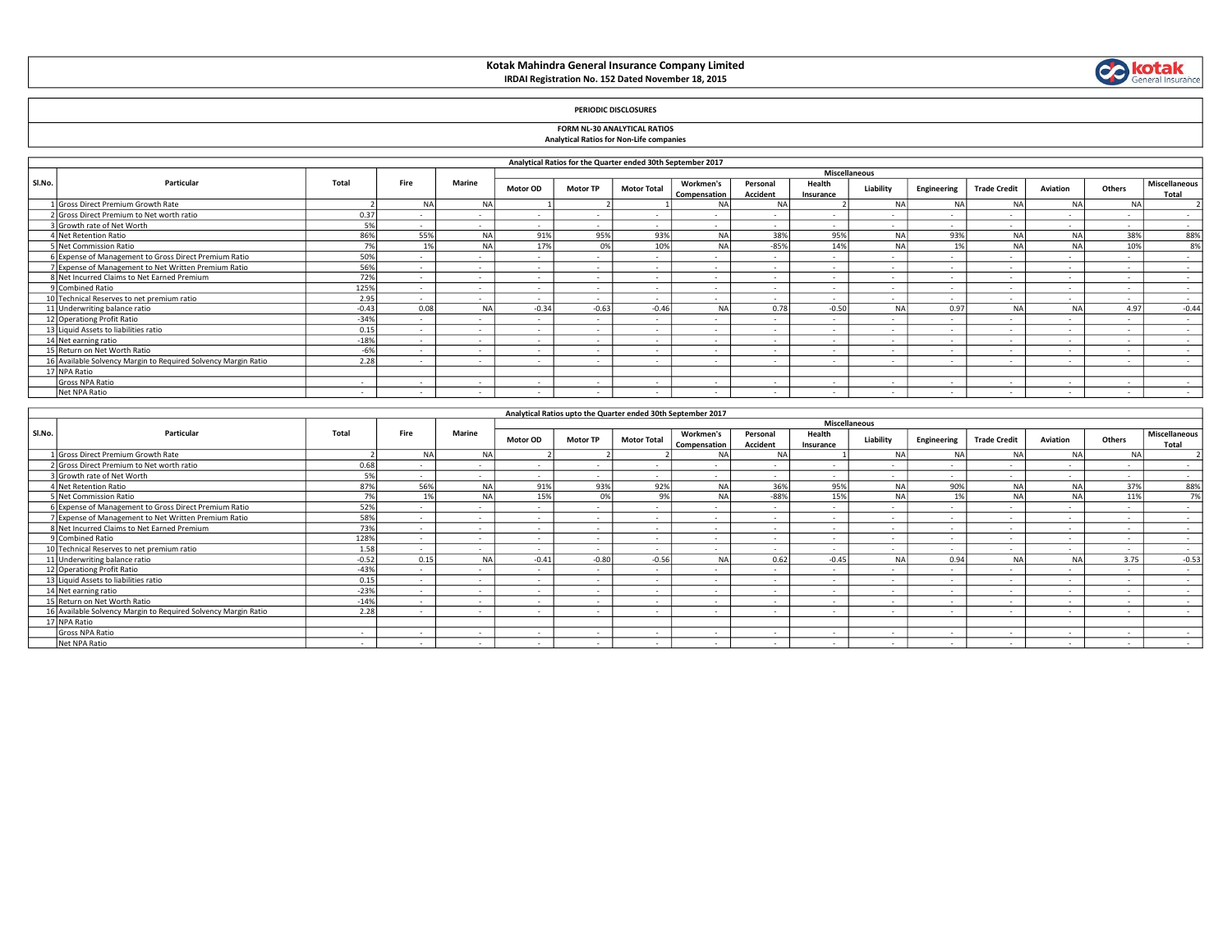# Kotak Mahindra General Insurance Company Limited IRDAI Registration No. 152 Dated November 18, 2015



## PERIODIC DISCLOSURES

# FORM NL-30 ANALYTICAL RATIOS

| <b>FUNIVE INLEGATION AIRPORT FOR THE INC.</b>   |  |
|-------------------------------------------------|--|
| <b>Analytical Ratios for Non-Life companies</b> |  |

|        | Analytical Ratios for the Quarter ended 30th September 2017    |         |           |               |                      |                          |                          |                           |                      |                     |           |             |                          |                |                          |                               |
|--------|----------------------------------------------------------------|---------|-----------|---------------|----------------------|--------------------------|--------------------------|---------------------------|----------------------|---------------------|-----------|-------------|--------------------------|----------------|--------------------------|-------------------------------|
|        |                                                                |         |           |               | <b>Miscellaneous</b> |                          |                          |                           |                      |                     |           |             |                          |                |                          |                               |
| Sl.No. | Particular                                                     | Total   | Fire      | <b>Marine</b> | <b>Motor OD</b>      | <b>Motor TP</b>          | <b>Motor Total</b>       | Workmen's<br>Compensation | Personal<br>Accident | Health<br>Insurance | Liability | Engineering | <b>Trade Credit</b>      | Aviation       | Others                   | <b>Miscellaneous</b><br>Total |
|        | L Gross Direct Premium Growth Rate                             |         | <b>NA</b> | <b>NA</b>     |                      |                          |                          | NΑ                        | <b>NA</b>            |                     | <b>NA</b> | NΑ          | NΔ                       | NA             | <b>NA</b>                |                               |
|        | 2 Gross Direct Premium to Net worth ratio                      | 0.37    |           | $\sim$        | $\sim$               | $\overline{\phantom{a}}$ |                          |                           | $\sim$               | $\sim$              |           |             | $\sim$                   | $\sim$         | $\overline{\phantom{a}}$ | $\sim$                        |
|        | Growth rate of Net Worth                                       | 5%      |           |               | $\sim$               | $\sim$                   |                          |                           | $\sim$               | $\sim$              |           |             | $\sim$                   | $\sim$         | $\overline{\phantom{a}}$ | $\sim$                        |
|        | 4 Net Retention Ratio                                          | 86%     | 55%       | NA            | 91%                  | 95%                      | 93%                      | <b>NA</b>                 | 38%                  | 95%                 | <b>NA</b> | 93%         |                          | N/             | 38%                      | 88%                           |
|        | 5 Net Commission Ratio                                         | 70/     | 1%        | NΔ            | 17%                  | 0%                       | 10%                      | <b>NA</b>                 | $-85%$               | 14%                 | <b>NA</b> | 10/         | NΔ                       | N <sub>4</sub> | 10%                      | 8%                            |
|        | 6 Expense of Management to Gross Direct Premium Ratio          | 50%     |           |               | $\sim$               | $\overline{\phantom{a}}$ | $\overline{\phantom{a}}$ |                           | $\sim$               | $\sim$              | $\sim$    |             | $\sim$                   | $\sim$         | $\overline{\phantom{a}}$ | $\sim$                        |
|        | 7 Expense of Management to Net Written Premium Ratio           | 56%     |           |               | $\sim$               | $\sim$                   |                          |                           | $\sim$               | $\sim$              |           |             | $\sim$                   | $\sim$         |                          | $\sim$                        |
|        | 8 Net Incurred Claims to Net Earned Premium                    | 72%     |           |               | $\sim$               | $\overline{\phantom{a}}$ |                          |                           | $\sim$               | $\sim$              | $\sim$    |             | $\sim$                   | $\sim$         |                          | $\sim$                        |
|        | 9 Combined Ratio                                               | 125%    |           | $\sim$        | $\sim$               | $\sim$                   | $\overline{\phantom{a}}$ | $\overline{\phantom{a}}$  | $\sim$               | $\sim$              | $\sim$    | $\sim$      | $\overline{\phantom{a}}$ | $\sim$         | $\overline{\phantom{a}}$ | $\sim$                        |
|        | 10 Technical Reserves to net premium ratio                     | 2.95    |           |               |                      | $\overline{a}$           |                          |                           |                      |                     |           |             |                          |                |                          | $\sim$                        |
|        | 11 Underwriting balance ratio                                  | $-0.43$ | 0.08      | NA            | $-0.34$              | $-0.63$                  | $-0.46$                  | <b>NA</b>                 | 0.78                 | $-0.50$             | <b>NA</b> | 0.97        | <b>NA</b>                | N/             | 4.97                     | $-0.44$                       |
|        | 12 Operationg Profit Ratio                                     | $-34%$  |           |               | $\sim$               | $\sim$                   | $\overline{\phantom{a}}$ |                           | $\sim$               | $\sim$              | $\sim$    |             | $\sim$                   | $\sim$         | $\overline{\phantom{a}}$ | $\sim$                        |
|        | 13 Liquid Assets to liabilities ratio                          | 0.15    |           |               | $\sim$               | $\sim$                   |                          |                           |                      |                     |           |             | $\sim$                   |                |                          |                               |
|        | 14 Net earning ratio                                           | $-18%$  | $\sim$    |               | $\sim$               | $\sim$                   | $\overline{\phantom{a}}$ |                           | $\sim$               | $\sim$              | $\sim$    |             | $\sim$                   | $\sim$         | $\sim$                   |                               |
|        | 15 Return on Net Worth Ratio                                   | $-6%$   | $\sim$    | $\sim$        | $\sim$               | $\sim$                   | $\overline{\phantom{a}}$ | $\sim$                    | $\sim$               | $\sim$              | $\sim$    | $\sim$      | $\sim$                   | $\sim$         | $\overline{\phantom{a}}$ | $\sim$                        |
|        | 16 Available Solvency Margin to Required Solvency Margin Ratio | 2.28    |           |               | $\sim$               | $\sim$                   |                          |                           |                      |                     |           |             | $\overline{\phantom{a}}$ | $\sim$         |                          |                               |
|        | 17 NPA Ratio                                                   |         |           |               |                      |                          |                          |                           |                      |                     |           |             |                          |                |                          |                               |
|        | Gross NPA Ratio                                                |         |           |               | $\sim$               | $\overline{\phantom{a}}$ |                          |                           | $\sim$               |                     |           |             | $\sim$                   | $\sim$         |                          |                               |
|        | Net NPA Ratio                                                  | $\sim$  |           |               | $\sim$               | $\overline{\phantom{a}}$ |                          |                           | $\sim$               |                     |           |             | $\sim$                   | $\sim$         |                          | $\sim$                        |

|        | Analytical Ratios upto the Quarter ended 30th September 2017   |         |           |                          |                          |                          |                          |                           |                      |                     |           |             |                     |          |                          |                               |
|--------|----------------------------------------------------------------|---------|-----------|--------------------------|--------------------------|--------------------------|--------------------------|---------------------------|----------------------|---------------------|-----------|-------------|---------------------|----------|--------------------------|-------------------------------|
|        |                                                                |         |           | <b>Miscellaneous</b>     |                          |                          |                          |                           |                      |                     |           |             |                     |          |                          |                               |
| Sl.No. | Particular                                                     | Total   | Fire      | <b>Marine</b>            | Motor OD                 | <b>Motor TP</b>          | <b>Motor Total</b>       | Workmen's<br>Compensation | Personal<br>Accident | Health<br>Insurance | Liability | Engineering | <b>Trade Credit</b> | Aviation | Others                   | <b>Miscellaneous</b><br>Total |
|        | I Gross Direct Premium Growth Rate                             |         | <b>NA</b> | <b>NA</b>                |                          |                          |                          | NΑ                        | NA                   |                     | <b>NA</b> | <b>NA</b>   | <b>NA</b>           | NA       | <b>NA</b>                |                               |
|        | 2 Gross Direct Premium to Net worth ratio                      | 0.68    |           | $\overline{a}$           | $\overline{\phantom{a}}$ |                          |                          |                           |                      |                     |           |             |                     | $\sim$   |                          | $\sim$                        |
|        | 3 Growth rate of Net Worth                                     | 5%      |           | $\sim$                   | $\sim$                   | $\overline{\phantom{a}}$ | $\overline{\phantom{a}}$ |                           | $\sim$               | $\sim$              |           |             |                     | $\sim$   | $\overline{a}$           | $\sim$                        |
|        | 4 Net Retention Ratio                                          | 87%     | 56%       | <b>NA</b>                | 91%                      | 93%                      | 92%                      | <b>NA</b>                 | 36%                  | 95%                 | <b>NA</b> | 90%         | <b>NA</b>           | NA       | 37%                      | 88%                           |
|        | 5 Net Commission Ratio                                         | 7%      | 1%        | <b>NA</b>                | 15%                      | 0%                       | 9%                       | <b>NA</b>                 | $-88%$               | 15%                 | <b>NA</b> |             | <b>NA</b>           | N/       | 11%                      | 7%                            |
|        | 6 Expense of Management to Gross Direct Premium Ratio          | 52%     |           |                          | $\sim$                   | $\overline{a}$           |                          |                           |                      | $\sim$              |           |             |                     | $\sim$   | $\overline{\phantom{a}}$ |                               |
|        | 7 Expense of Management to Net Written Premium Ratio           | 58%     |           | $\overline{\phantom{a}}$ | $\sim$                   | $\overline{\phantom{a}}$ |                          |                           |                      | $\sim$              |           |             | $\sim$              | $\sim$   | $\overline{\phantom{a}}$ | $\overline{\phantom{a}}$      |
|        | 8 Net Incurred Claims to Net Earned Premium                    | 73%     |           | $\sim$                   | $\sim$                   | $\sim$                   | $\sim$                   |                           | $\sim$               | $\sim$              | $\sim$    |             | $\sim$              | $\sim$   | $\overline{\phantom{a}}$ | $\sim$                        |
|        | 9 Combined Ratio                                               | 128%    |           |                          | $\sim$                   | $\overline{\phantom{a}}$ |                          |                           |                      | $\sim$              |           |             |                     | $\sim$   |                          | $\overline{\phantom{a}}$      |
|        | 10 Technical Reserves to net premium ratio                     | 1.58    |           | $\sim$                   | $\sim$                   | $\overline{\phantom{a}}$ |                          |                           |                      | $\sim$              |           |             | $\sim$              | $\sim$   | $\overline{\phantom{a}}$ |                               |
|        | 11 Underwriting balance ratio                                  | $-0.52$ | 0.15      | <b>NA</b>                | $-0.41$                  | $-0.80$                  | $-0.56$                  | <b>NA</b>                 | 0.62                 | $-0.45$             | <b>NA</b> | 0.94        | <b>NA</b>           | NA       | 3.75                     | $-0.53$                       |
|        | 12 Operationg Profit Ratio                                     | $-43%$  |           | $\sim$                   | $\overline{\phantom{a}}$ | $\overline{a}$           |                          |                           |                      | $\sim$              |           |             |                     |          | $\overline{\phantom{a}}$ | $\sim$                        |
|        | 13 Liquid Assets to liabilities ratio                          | 0.15    |           | $\sim$                   | $\sim$                   | $\overline{a}$           |                          |                           | $\sim$               | $\sim$              |           |             | $\sim$              | $\sim$   | $\overline{\phantom{a}}$ | $\sim$                        |
|        | 14 Net earning ratio                                           | $-23%$  |           | $\sim$                   | $\sim$                   | $\overline{\phantom{a}}$ | $\overline{\phantom{a}}$ |                           |                      | $\sim$              |           |             | $\sim$              | $\sim$   | $\overline{\phantom{a}}$ | $\sim$                        |
|        | 15 Return on Net Worth Ratio                                   | $-14%$  | ۰.        | $\sim$                   | $\sim$                   | $\overline{\phantom{a}}$ | $\overline{\phantom{a}}$ |                           | $\sim$               | $\sim$              |           |             | $\sim$              | $\sim$   | $\overline{a}$           | $\sim$                        |
|        | 16 Available Solvency Margin to Required Solvency Margin Ratio | 2.28    |           | $\sim$                   | $\sim$                   | $\sim$                   | $\overline{\phantom{a}}$ |                           | $\sim$               | $\sim$              |           |             | $\sim$              | $\sim$   | $\overline{\phantom{a}}$ | $\sim$                        |
|        | 17 NPA Ratio                                                   |         |           |                          |                          |                          |                          |                           |                      |                     |           |             |                     |          |                          |                               |
|        | Gross NPA Ratio                                                |         |           | $\overline{\phantom{a}}$ | $\sim$                   | $\overline{\phantom{a}}$ |                          |                           |                      | $\sim$              |           |             | $\sim$              | $\sim$   |                          | $\overline{\phantom{a}}$      |
|        | Net NPA Ratio                                                  | $\sim$  |           | $\sim$                   | $\overline{\phantom{a}}$ | $\sim$                   | $\sim$                   |                           | $\sim$               | $\sim$              |           |             | $\sim$              | $\sim$   | $\overline{\phantom{a}}$ | $\sim$                        |